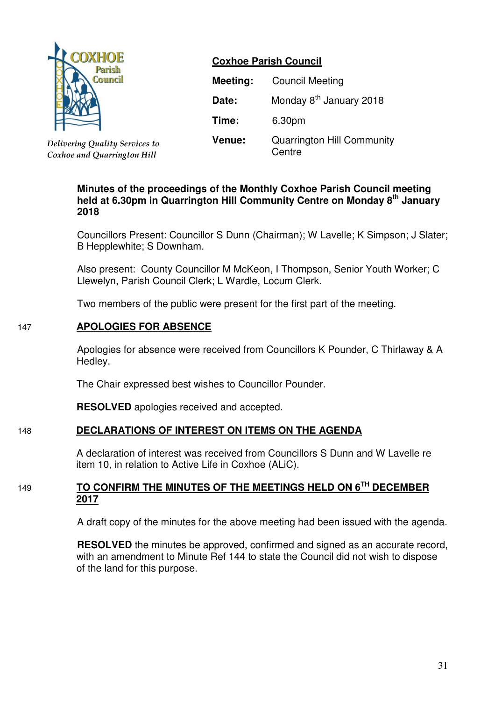

*Delivering Quality Services to Coxhoe and Quarrington Hill*

# **Coxhoe Parish Council**

| Meeting: | <b>Council Meeting</b>                      |  |  |  |
|----------|---------------------------------------------|--|--|--|
| Date:    | Monday 8 <sup>th</sup> January 2018         |  |  |  |
| Time:    | 6.30pm                                      |  |  |  |
| Venue:   | <b>Quarrington Hill Community</b><br>Centre |  |  |  |

## **Minutes of the proceedings of the Monthly Coxhoe Parish Council meeting held at 6.30pm in Quarrington Hill Community Centre on Monday 8th January 2018**

Councillors Present: Councillor S Dunn (Chairman); W Lavelle; K Simpson; J Slater; B Hepplewhite; S Downham.

Also present: County Councillor M McKeon, I Thompson, Senior Youth Worker; C Llewelyn, Parish Council Clerk; L Wardle, Locum Clerk.

Two members of the public were present for the first part of the meeting.

# 147 **APOLOGIES FOR ABSENCE**

 Apologies for absence were received from Councillors K Pounder, C Thirlaway & A Hedley.

The Chair expressed best wishes to Councillor Pounder.

**RESOLVED** apologies received and accepted.

# 148 **DECLARATIONS OF INTEREST ON ITEMS ON THE AGENDA**

 A declaration of interest was received from Councillors S Dunn and W Lavelle re item 10, in relation to Active Life in Coxhoe (ALiC).

# <sup>149</sup> **TO CONFIRM THE MINUTES OF THE MEETINGS HELD ON 6TH DECEMBER 2017**

A draft copy of the minutes for the above meeting had been issued with the agenda.

**RESOLVED** the minutes be approved, confirmed and signed as an accurate record, with an amendment to Minute Ref 144 to state the Council did not wish to dispose of the land for this purpose.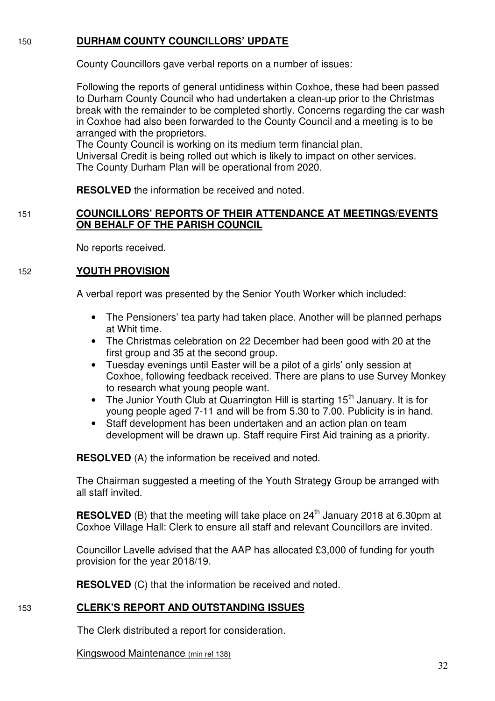## 150 **DURHAM COUNTY COUNCILLORS' UPDATE**

County Councillors gave verbal reports on a number of issues:

 Following the reports of general untidiness within Coxhoe, these had been passed to Durham County Council who had undertaken a clean-up prior to the Christmas break with the remainder to be completed shortly. Concerns regarding the car wash in Coxhoe had also been forwarded to the County Council and a meeting is to be arranged with the proprietors.

The County Council is working on its medium term financial plan. Universal Credit is being rolled out which is likely to impact on other services. The County Durham Plan will be operational from 2020.

**RESOLVED** the information be received and noted.

# 151 **COUNCILLORS' REPORTS OF THEIR ATTENDANCE AT MEETINGS/EVENTS ON BEHALF OF THE PARISH COUNCIL**

No reports received.

## 152 **YOUTH PROVISION**

A verbal report was presented by the Senior Youth Worker which included:

- The Pensioners' tea party had taken place. Another will be planned perhaps at Whit time.
- The Christmas celebration on 22 December had been good with 20 at the first group and 35 at the second group.
- Tuesday evenings until Easter will be a pilot of a girls' only session at Coxhoe, following feedback received. There are plans to use Survey Monkey to research what young people want.
- The Junior Youth Club at Quarrington Hill is starting 15<sup>th</sup> January. It is for young people aged 7-11 and will be from 5.30 to 7.00. Publicity is in hand.
- Staff development has been undertaken and an action plan on team development will be drawn up. Staff require First Aid training as a priority.

**RESOLVED** (A) the information be received and noted.

The Chairman suggested a meeting of the Youth Strategy Group be arranged with all staff invited.

**RESOLVED** (B) that the meeting will take place on 24<sup>th</sup> January 2018 at 6.30pm at Coxhoe Village Hall: Clerk to ensure all staff and relevant Councillors are invited.

Councillor Lavelle advised that the AAP has allocated £3,000 of funding for youth provision for the year 2018/19.

**RESOLVED** (C) that the information be received and noted.

# 153 **CLERK'S REPORT AND OUTSTANDING ISSUES**

The Clerk distributed a report for consideration.

Kingswood Maintenance (min ref 138)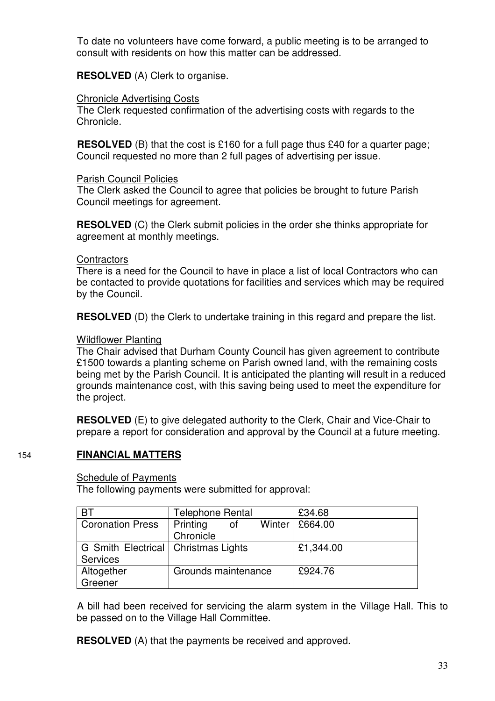To date no volunteers have come forward, a public meeting is to be arranged to consult with residents on how this matter can be addressed.

**RESOLVED** (A) Clerk to organise.

### Chronicle Advertising Costs

 The Clerk requested confirmation of the advertising costs with regards to the Chronicle.

**RESOLVED** (B) that the cost is £160 for a full page thus £40 for a quarter page; Council requested no more than 2 full pages of advertising per issue.

Parish Council Policies

 The Clerk asked the Council to agree that policies be brought to future Parish Council meetings for agreement.

**RESOLVED** (C) the Clerk submit policies in the order she thinks appropriate for agreement at monthly meetings.

### **Contractors**

There is a need for the Council to have in place a list of local Contractors who can be contacted to provide quotations for facilities and services which may be required by the Council.

**RESOLVED** (D) the Clerk to undertake training in this regard and prepare the list.

## Wildflower Planting

The Chair advised that Durham County Council has given agreement to contribute £1500 towards a planting scheme on Parish owned land, with the remaining costs being met by the Parish Council. It is anticipated the planting will result in a reduced grounds maintenance cost, with this saving being used to meet the expenditure for the project.

**RESOLVED** (E) to give delegated authority to the Clerk, Chair and Vice-Chair to prepare a report for consideration and approval by the Council at a future meeting.

# 154 **FINANCIAL MATTERS**

### Schedule of Payments

The following payments were submitted for approval:

| <b>BT</b>                             | Telephone Rental           | £34.68    |
|---------------------------------------|----------------------------|-----------|
| <b>Coronation Press</b>               | Printing<br>Winter  <br>οt | £664.00   |
|                                       | Chronicle                  |           |
| G Smith Electrical   Christmas Lights |                            | £1,344.00 |
| Services                              |                            |           |
| Altogether                            | Grounds maintenance        | £924.76   |
| Greener                               |                            |           |

 A bill had been received for servicing the alarm system in the Village Hall. This to be passed on to the Village Hall Committee.

**RESOLVED** (A) that the payments be received and approved.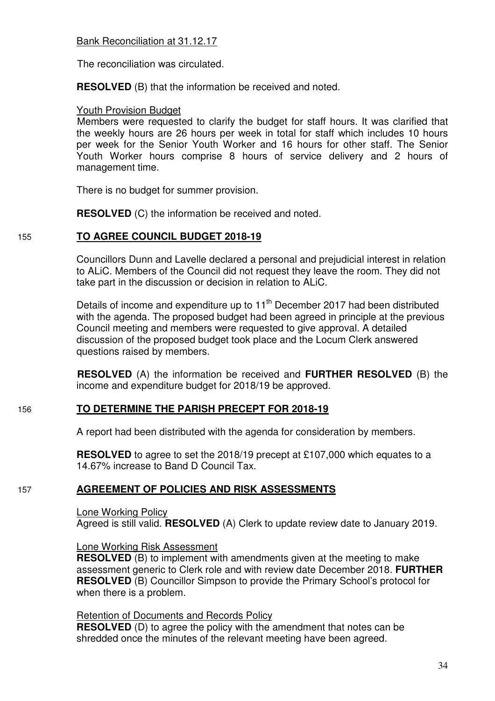The reconciliation was circulated.

**RESOLVED** (B) that the information be received and noted.

### Youth Provision Budget

 Members were requested to clarify the budget for staff hours. It was clarified that the weekly hours are 26 hours per week in total for staff which includes 10 hours per week for the Senior Youth Worker and 16 hours for other staff. The Senior Youth Worker hours comprise 8 hours of service delivery and 2 hours of management time.

There is no budget for summer provision.

**RESOLVED** (C) the information be received and noted.

# 155 **TO AGREE COUNCIL BUDGET 2018-19**

Councillors Dunn and Lavelle declared a personal and prejudicial interest in relation to ALiC. Members of the Council did not request they leave the room. They did not take part in the discussion or decision in relation to ALiC.

Details of income and expenditure up to 11<sup>th</sup> December 2017 had been distributed with the agenda. The proposed budget had been agreed in principle at the previous Council meeting and members were requested to give approval. A detailed discussion of the proposed budget took place and the Locum Clerk answered questions raised by members.

**RESOLVED** (A) the information be received and **FURTHER RESOLVED** (B) the income and expenditure budget for 2018/19 be approved.

# 156 **TO DETERMINE THE PARISH PRECEPT FOR 2018-19**

A report had been distributed with the agenda for consideration by members.

**RESOLVED** to agree to set the 2018/19 precept at £107,000 which equates to a 14.67% increase to Band D Council Tax.

# 157 **AGREEMENT OF POLICIES AND RISK ASSESSMENTS**

Lone Working Policy

Agreed is still valid. **RESOLVED** (A) Clerk to update review date to January 2019.

### Lone Working Risk Assessment

**RESOLVED** (B) to implement with amendments given at the meeting to make assessment generic to Clerk role and with review date December 2018. **FURTHER RESOLVED** (B) Councillor Simpson to provide the Primary School's protocol for when there is a problem.

Retention of Documents and Records Policy

**RESOLVED** (D) to agree the policy with the amendment that notes can be shredded once the minutes of the relevant meeting have been agreed.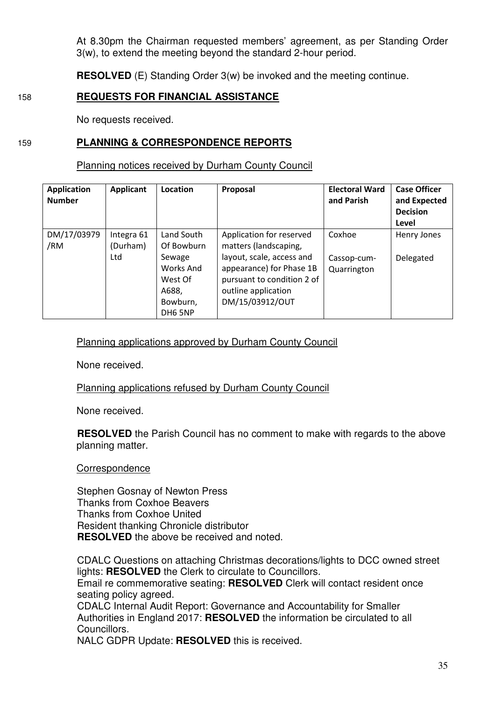At 8.30pm the Chairman requested members' agreement, as per Standing Order 3(w), to extend the meeting beyond the standard 2-hour period.

**RESOLVED** (E) Standing Order 3(w) be invoked and the meeting continue.

# 158 **REQUESTS FOR FINANCIAL ASSISTANCE**

No requests received.

### 159 **PLANNING & CORRESPONDENCE REPORTS**

Planning notices received by Durham County Council

| <b>Application</b><br><b>Number</b> | <b>Applicant</b>       | Location                                                       | Proposal                                                                                                                      | <b>Electoral Ward</b><br>and Parish | <b>Case Officer</b><br>and Expected<br><b>Decision</b><br>Level |
|-------------------------------------|------------------------|----------------------------------------------------------------|-------------------------------------------------------------------------------------------------------------------------------|-------------------------------------|-----------------------------------------------------------------|
| DM/17/03979<br>/RM                  | Integra 61<br>(Durham) | Land South<br>Of Bowburn                                       | Application for reserved<br>matters (landscaping,                                                                             | Coxhoe                              | Henry Jones                                                     |
|                                     | Ltd                    | Sewage<br>Works And<br>West Of<br>A688,<br>Bowburn,<br>DH6 5NP | layout, scale, access and<br>appearance) for Phase 1B<br>pursuant to condition 2 of<br>outline application<br>DM/15/03912/OUT | Cassop-cum-<br>Quarrington          | Delegated                                                       |

## Planning applications approved by Durham County Council

None received.

### Planning applications refused by Durham County Council

None received.

**RESOLVED** the Parish Council has no comment to make with regards to the above planning matter.

### **Correspondence**

Stephen Gosnay of Newton Press Thanks from Coxhoe Beavers Thanks from Coxhoe United Resident thanking Chronicle distributor **RESOLVED** the above be received and noted.

CDALC Questions on attaching Christmas decorations/lights to DCC owned street lights: **RESOLVED** the Clerk to circulate to Councillors. Email re commemorative seating: **RESOLVED** Clerk will contact resident once seating policy agreed.

CDALC Internal Audit Report: Governance and Accountability for Smaller Authorities in England 2017: **RESOLVED** the information be circulated to all Councillors.

NALC GDPR Update: **RESOLVED** this is received.